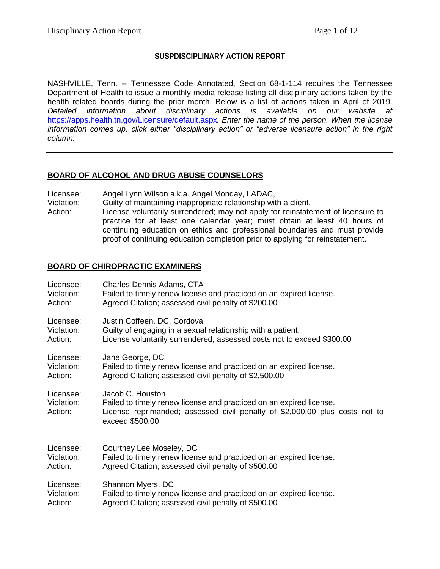#### **SUSPDISCIPLINARY ACTION REPORT**

NASHVILLE, Tenn. -- Tennessee Code Annotated, Section 68-1-114 requires the Tennessee Department of Health to issue a monthly media release listing all disciplinary actions taken by the health related boards during the prior month. Below is a list of actions taken in April of 2019. *Detailed information about disciplinary actions is available on our website at*  <https://apps.health.tn.gov/Licensure/default.aspx>*. Enter the name of the person. When the license information comes up, click either "disciplinary action" or "adverse licensure action" in the right column.*

# **BOARD OF ALCOHOL AND DRUG ABUSE COUNSELORS**

- Licensee: Angel Lynn Wilson a.k.a. Angel Monday, LADAC,
- Violation: Guilty of maintaining inappropriate relationship with a client. Action: License voluntarily surrendered; may not apply for reinstatement of licensure to practice for at least one calendar year; must obtain at least 40 hours of continuing education on ethics and professional boundaries and must provide proof of continuing education completion prior to applying for reinstatement.

# **BOARD OF CHIROPRACTIC EXAMINERS**

| Licensee:                          | <b>Charles Dennis Adams, CTA</b>                                                                                                                                                          |  |
|------------------------------------|-------------------------------------------------------------------------------------------------------------------------------------------------------------------------------------------|--|
| Violation:                         | Failed to timely renew license and practiced on an expired license.                                                                                                                       |  |
| Action:                            | Agreed Citation; assessed civil penalty of \$200.00                                                                                                                                       |  |
| Licensee:                          | Justin Coffeen, DC, Cordova                                                                                                                                                               |  |
| Violation:                         | Guilty of engaging in a sexual relationship with a patient.                                                                                                                               |  |
| Action:                            | License voluntarily surrendered; assessed costs not to exceed \$300.00                                                                                                                    |  |
| Licensee:                          | Jane George, DC                                                                                                                                                                           |  |
| Violation:                         | Failed to timely renew license and practiced on an expired license.                                                                                                                       |  |
| Action:                            | Agreed Citation; assessed civil penalty of \$2,500.00                                                                                                                                     |  |
| Licensee:<br>Violation:<br>Action: | Jacob C. Houston<br>Failed to timely renew license and practiced on an expired license.<br>License reprimanded; assessed civil penalty of \$2,000.00 plus costs not to<br>exceed \$500.00 |  |
| Licensee:                          | Courtney Lee Moseley, DC                                                                                                                                                                  |  |
| Violation:                         | Failed to timely renew license and practiced on an expired license.                                                                                                                       |  |
| Action:                            | Agreed Citation; assessed civil penalty of \$500.00                                                                                                                                       |  |
| Licensee:                          | Shannon Myers, DC                                                                                                                                                                         |  |
| Violation:                         | Failed to timely renew license and practiced on an expired license.                                                                                                                       |  |
| Action:                            | Agreed Citation; assessed civil penalty of \$500.00                                                                                                                                       |  |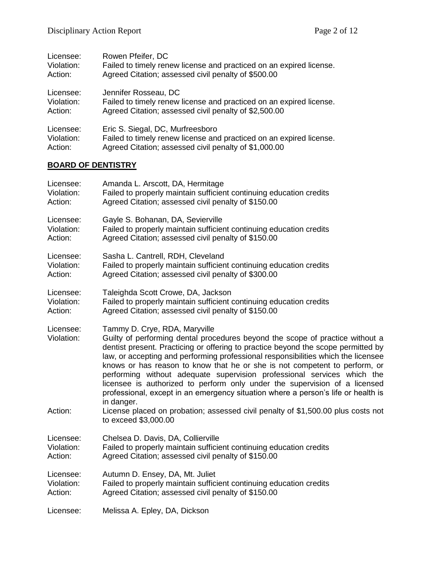| Licensee:  | Rowen Pfeifer, DC                                                   |
|------------|---------------------------------------------------------------------|
| Violation: | Failed to timely renew license and practiced on an expired license. |
| Action:    | Agreed Citation; assessed civil penalty of \$500.00                 |
| Licensee:  | Jennifer Rosseau, DC                                                |
| Violation: | Failed to timely renew license and practiced on an expired license. |
| Action:    | Agreed Citation; assessed civil penalty of \$2,500.00               |
| Licensee:  | Eric S. Siegal, DC, Murfreesboro                                    |
| Violation: | Failed to timely renew license and practiced on an expired license. |
| Action:    | Agreed Citation; assessed civil penalty of \$1,000.00               |

# **BOARD OF DENTISTRY**

| Licensee:                          | Amanda L. Arscott, DA, Hermitage                                                                                                                                                                                                                                                                                                                                                                                                                                                                                                                                                                                                                                                                                       |
|------------------------------------|------------------------------------------------------------------------------------------------------------------------------------------------------------------------------------------------------------------------------------------------------------------------------------------------------------------------------------------------------------------------------------------------------------------------------------------------------------------------------------------------------------------------------------------------------------------------------------------------------------------------------------------------------------------------------------------------------------------------|
| Violation:                         | Failed to properly maintain sufficient continuing education credits                                                                                                                                                                                                                                                                                                                                                                                                                                                                                                                                                                                                                                                    |
| Action:                            | Agreed Citation; assessed civil penalty of \$150.00                                                                                                                                                                                                                                                                                                                                                                                                                                                                                                                                                                                                                                                                    |
| Licensee:                          | Gayle S. Bohanan, DA, Sevierville                                                                                                                                                                                                                                                                                                                                                                                                                                                                                                                                                                                                                                                                                      |
| Violation:                         | Failed to properly maintain sufficient continuing education credits                                                                                                                                                                                                                                                                                                                                                                                                                                                                                                                                                                                                                                                    |
| Action:                            | Agreed Citation; assessed civil penalty of \$150.00                                                                                                                                                                                                                                                                                                                                                                                                                                                                                                                                                                                                                                                                    |
| Licensee:                          | Sasha L. Cantrell, RDH, Cleveland                                                                                                                                                                                                                                                                                                                                                                                                                                                                                                                                                                                                                                                                                      |
| Violation:                         | Failed to properly maintain sufficient continuing education credits                                                                                                                                                                                                                                                                                                                                                                                                                                                                                                                                                                                                                                                    |
| Action:                            | Agreed Citation; assessed civil penalty of \$300.00                                                                                                                                                                                                                                                                                                                                                                                                                                                                                                                                                                                                                                                                    |
| Licensee:                          | Taleighda Scott Crowe, DA, Jackson                                                                                                                                                                                                                                                                                                                                                                                                                                                                                                                                                                                                                                                                                     |
| Violation:                         | Failed to properly maintain sufficient continuing education credits                                                                                                                                                                                                                                                                                                                                                                                                                                                                                                                                                                                                                                                    |
| Action:                            | Agreed Citation; assessed civil penalty of \$150.00                                                                                                                                                                                                                                                                                                                                                                                                                                                                                                                                                                                                                                                                    |
| Licensee:<br>Violation:<br>Action: | Tammy D. Crye, RDA, Maryville<br>Guilty of performing dental procedures beyond the scope of practice without a<br>dentist present. Practicing or offering to practice beyond the scope permitted by<br>law, or accepting and performing professional responsibilities which the licensee<br>knows or has reason to know that he or she is not competent to perform, or<br>performing without adequate supervision professional services which the<br>licensee is authorized to perform only under the supervision of a licensed<br>professional, except in an emergency situation where a person's life or health is<br>in danger.<br>License placed on probation; assessed civil penalty of \$1,500.00 plus costs not |
| Licensee:                          | to exceed \$3,000.00<br>Chelsea D. Davis, DA, Collierville                                                                                                                                                                                                                                                                                                                                                                                                                                                                                                                                                                                                                                                             |
| Violation:                         | Failed to properly maintain sufficient continuing education credits                                                                                                                                                                                                                                                                                                                                                                                                                                                                                                                                                                                                                                                    |
| Action:                            | Agreed Citation; assessed civil penalty of \$150.00                                                                                                                                                                                                                                                                                                                                                                                                                                                                                                                                                                                                                                                                    |
| Licensee:                          | Autumn D. Ensey, DA, Mt. Juliet                                                                                                                                                                                                                                                                                                                                                                                                                                                                                                                                                                                                                                                                                        |
| Violation:                         | Failed to properly maintain sufficient continuing education credits                                                                                                                                                                                                                                                                                                                                                                                                                                                                                                                                                                                                                                                    |
| Action:                            | Agreed Citation; assessed civil penalty of \$150.00                                                                                                                                                                                                                                                                                                                                                                                                                                                                                                                                                                                                                                                                    |
| Licensee:                          | Melissa A. Epley, DA, Dickson                                                                                                                                                                                                                                                                                                                                                                                                                                                                                                                                                                                                                                                                                          |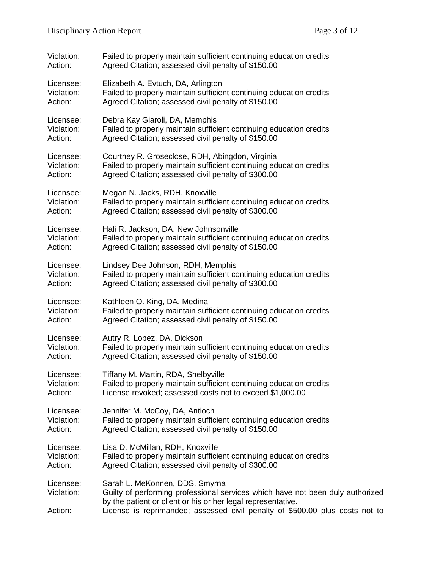| Violation:                         | Failed to properly maintain sufficient continuing education credits                                                                                                                                                                                              |  |
|------------------------------------|------------------------------------------------------------------------------------------------------------------------------------------------------------------------------------------------------------------------------------------------------------------|--|
| Action:                            | Agreed Citation; assessed civil penalty of \$150.00                                                                                                                                                                                                              |  |
| Licensee:                          | Elizabeth A. Evtuch, DA, Arlington                                                                                                                                                                                                                               |  |
| Violation:                         | Failed to properly maintain sufficient continuing education credits                                                                                                                                                                                              |  |
| Action:                            | Agreed Citation; assessed civil penalty of \$150.00                                                                                                                                                                                                              |  |
| Licensee:                          | Debra Kay Giaroli, DA, Memphis                                                                                                                                                                                                                                   |  |
| Violation:                         | Failed to properly maintain sufficient continuing education credits                                                                                                                                                                                              |  |
| Action:                            | Agreed Citation; assessed civil penalty of \$150.00                                                                                                                                                                                                              |  |
| Licensee:                          | Courtney R. Groseclose, RDH, Abingdon, Virginia                                                                                                                                                                                                                  |  |
| Violation:                         | Failed to properly maintain sufficient continuing education credits                                                                                                                                                                                              |  |
| Action:                            | Agreed Citation; assessed civil penalty of \$300.00                                                                                                                                                                                                              |  |
| Licensee:                          | Megan N. Jacks, RDH, Knoxville                                                                                                                                                                                                                                   |  |
| Violation:                         | Failed to properly maintain sufficient continuing education credits                                                                                                                                                                                              |  |
| Action:                            | Agreed Citation; assessed civil penalty of \$300.00                                                                                                                                                                                                              |  |
| Licensee:                          | Hali R. Jackson, DA, New Johnsonville                                                                                                                                                                                                                            |  |
| Violation:                         | Failed to properly maintain sufficient continuing education credits                                                                                                                                                                                              |  |
| Action:                            | Agreed Citation; assessed civil penalty of \$150.00                                                                                                                                                                                                              |  |
| Licensee:                          | Lindsey Dee Johnson, RDH, Memphis                                                                                                                                                                                                                                |  |
| Violation:                         | Failed to properly maintain sufficient continuing education credits                                                                                                                                                                                              |  |
| Action:                            | Agreed Citation; assessed civil penalty of \$300.00                                                                                                                                                                                                              |  |
| Licensee:                          | Kathleen O. King, DA, Medina                                                                                                                                                                                                                                     |  |
| Violation:                         | Failed to properly maintain sufficient continuing education credits                                                                                                                                                                                              |  |
| Action:                            | Agreed Citation; assessed civil penalty of \$150.00                                                                                                                                                                                                              |  |
| Licensee:                          | Autry R. Lopez, DA, Dickson                                                                                                                                                                                                                                      |  |
| Violation:                         | Failed to properly maintain sufficient continuing education credits                                                                                                                                                                                              |  |
| Action:                            | Agreed Citation; assessed civil penalty of \$150.00                                                                                                                                                                                                              |  |
| Licensee:                          | Tiffany M. Martin, RDA, Shelbyville                                                                                                                                                                                                                              |  |
| Violation:                         | Failed to properly maintain sufficient continuing education credits                                                                                                                                                                                              |  |
| Action:                            | License revoked; assessed costs not to exceed \$1,000.00                                                                                                                                                                                                         |  |
| Licensee:                          | Jennifer M. McCoy, DA, Antioch                                                                                                                                                                                                                                   |  |
| Violation:                         | Failed to properly maintain sufficient continuing education credits                                                                                                                                                                                              |  |
| Action:                            | Agreed Citation; assessed civil penalty of \$150.00                                                                                                                                                                                                              |  |
| Licensee:                          | Lisa D. McMillan, RDH, Knoxville                                                                                                                                                                                                                                 |  |
| Violation:                         | Failed to properly maintain sufficient continuing education credits                                                                                                                                                                                              |  |
| Action:                            | Agreed Citation; assessed civil penalty of \$300.00                                                                                                                                                                                                              |  |
| Licensee:<br>Violation:<br>Action: | Sarah L. MeKonnen, DDS, Smyrna<br>Guilty of performing professional services which have not been duly authorized<br>by the patient or client or his or her legal representative.<br>License is reprimanded; assessed civil penalty of \$500.00 plus costs not to |  |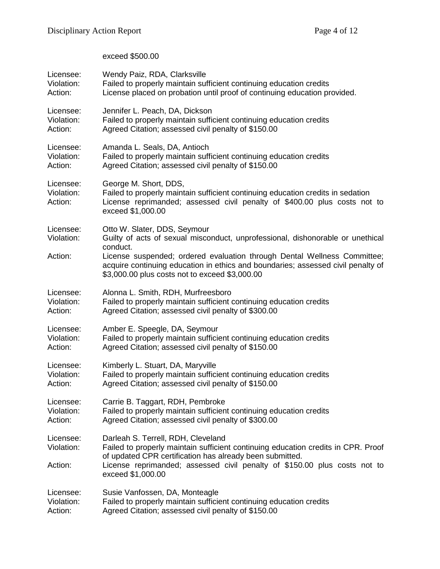# exceed \$500.00

| Licensee:                          | Wendy Paiz, RDA, Clarksville                                                                                                                                                                                               |
|------------------------------------|----------------------------------------------------------------------------------------------------------------------------------------------------------------------------------------------------------------------------|
| Violation:                         | Failed to properly maintain sufficient continuing education credits                                                                                                                                                        |
| Action:                            | License placed on probation until proof of continuing education provided.                                                                                                                                                  |
| Licensee:                          | Jennifer L. Peach, DA, Dickson                                                                                                                                                                                             |
| Violation:                         | Failed to properly maintain sufficient continuing education credits                                                                                                                                                        |
| Action:                            | Agreed Citation; assessed civil penalty of \$150.00                                                                                                                                                                        |
| Licensee:                          | Amanda L. Seals, DA, Antioch                                                                                                                                                                                               |
| Violation:                         | Failed to properly maintain sufficient continuing education credits                                                                                                                                                        |
| Action:                            | Agreed Citation; assessed civil penalty of \$150.00                                                                                                                                                                        |
| Licensee:<br>Violation:<br>Action: | George M. Short, DDS,<br>Failed to properly maintain sufficient continuing education credits in sedation<br>License reprimanded; assessed civil penalty of \$400.00 plus costs not to<br>exceed \$1,000.00                 |
| Licensee:                          | Otto W. Slater, DDS, Seymour                                                                                                                                                                                               |
| Violation:                         | Guilty of acts of sexual misconduct, unprofessional, dishonorable or unethical                                                                                                                                             |
| Action:                            | conduct.<br>License suspended; ordered evaluation through Dental Wellness Committee;<br>acquire continuing education in ethics and boundaries; assessed civil penalty of<br>\$3,000.00 plus costs not to exceed \$3,000.00 |
| Licensee:                          | Alonna L. Smith, RDH, Murfreesboro                                                                                                                                                                                         |
| Violation:                         | Failed to properly maintain sufficient continuing education credits                                                                                                                                                        |
| Action:                            | Agreed Citation; assessed civil penalty of \$300.00                                                                                                                                                                        |
| Licensee:                          | Amber E. Speegle, DA, Seymour                                                                                                                                                                                              |
| Violation:                         | Failed to properly maintain sufficient continuing education credits                                                                                                                                                        |
| Action:                            | Agreed Citation; assessed civil penalty of \$150.00                                                                                                                                                                        |
| Licensee:                          | Kimberly L. Stuart, DA, Maryville                                                                                                                                                                                          |
| Violation:                         | Failed to properly maintain sufficient continuing education credits                                                                                                                                                        |
| Action:                            | Agreed Citation; assessed civil penalty of \$150.00                                                                                                                                                                        |
| Licensee:                          | Carrie B. Taggart, RDH, Pembroke                                                                                                                                                                                           |
| Violation:                         | Failed to properly maintain sufficient continuing education credits                                                                                                                                                        |
| Action:                            | Agreed Citation; assessed civil penalty of \$300.00                                                                                                                                                                        |
| Licensee:                          | Darleah S. Terrell, RDH, Cleveland                                                                                                                                                                                         |
| Violation:                         | Failed to properly maintain sufficient continuing education credits in CPR. Proof                                                                                                                                          |
| Action:                            | of updated CPR certification has already been submitted.<br>License reprimanded; assessed civil penalty of \$150.00 plus costs not to<br>exceed \$1,000.00                                                                 |
| Licensee:                          | Susie Vanfossen, DA, Monteagle                                                                                                                                                                                             |
| Violation:                         | Failed to properly maintain sufficient continuing education credits                                                                                                                                                        |
| Action:                            | Agreed Citation; assessed civil penalty of \$150.00                                                                                                                                                                        |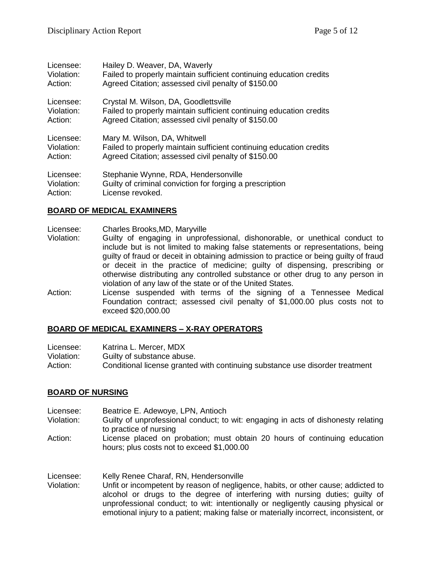| Licensee:  | Hailey D. Weaver, DA, Waverly                                       |
|------------|---------------------------------------------------------------------|
| Violation: | Failed to properly maintain sufficient continuing education credits |
| Action:    | Agreed Citation; assessed civil penalty of \$150.00                 |
| Licensee:  | Crystal M. Wilson, DA, Goodlettsville                               |
| Violation: | Failed to properly maintain sufficient continuing education credits |
| Action:    | Agreed Citation; assessed civil penalty of \$150.00                 |
| Licensee:  | Mary M. Wilson, DA, Whitwell                                        |
| Violation: | Failed to properly maintain sufficient continuing education credits |
| Action:    | Agreed Citation; assessed civil penalty of \$150.00                 |
| Licensee:  | Stephanie Wynne, RDA, Hendersonville                                |
| Violation: | Guilty of criminal conviction for forging a prescription            |
| Action:    | License revoked.                                                    |

# **BOARD OF MEDICAL EXAMINERS**

- Licensee: Charles Brooks,MD, Maryville Violation: Guilty of engaging in unprofessional, dishonorable, or unethical conduct to include but is not limited to making false statements or representations, being guilty of fraud or deceit in obtaining admission to practice or being guilty of fraud or deceit in the practice of medicine; guilty of dispensing, prescribing or otherwise distributing any controlled substance or other drug to any person in violation of any law of the state or of the United States.
- Action: License suspended with terms of the signing of a Tennessee Medical Foundation contract; assessed civil penalty of \$1,000.00 plus costs not to exceed \$20,000.00

#### **BOARD OF MEDICAL EXAMINERS – X-RAY OPERATORS**

| Licensee:  | Katrina L. Mercer, MDX                                                       |
|------------|------------------------------------------------------------------------------|
| Violation: | Guilty of substance abuse.                                                   |
| Action:    | Conditional license granted with continuing substance use disorder treatment |

#### **BOARD OF NURSING**

- Licensee: Beatrice E. Adewoye, LPN, Antioch Violation: Guilty of unprofessional conduct; to wit: engaging in acts of dishonesty relating to practice of nursing Action: License placed on probation; must obtain 20 hours of continuing education hours; plus costs not to exceed \$1,000.00 Licensee: Kelly Renee Charaf, RN, Hendersonville
- Violation: Unfit or incompetent by reason of negligence, habits, or other cause; addicted to alcohol or drugs to the degree of interfering with nursing duties; guilty of unprofessional conduct; to wit: intentionally or negligently causing physical or emotional injury to a patient; making false or materially incorrect, inconsistent, or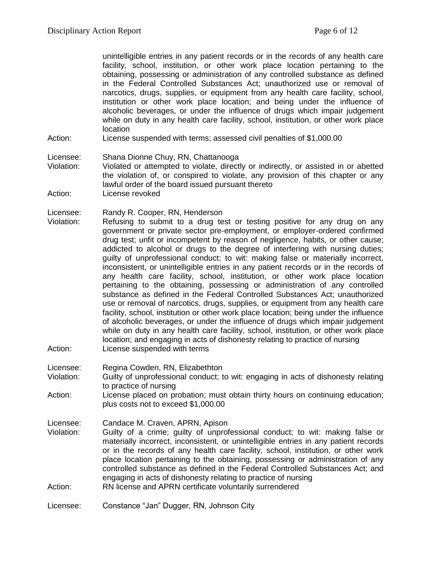unintelligible entries in any patient records or in the records of any health care facility, school, institution, or other work place location pertaining to the obtaining, possessing or administration of any controlled substance as defined in the Federal Controlled Substances Act; unauthorized use or removal of narcotics, drugs, supplies, or equipment from any health care facility, school, institution or other work place location; and being under the influence of alcoholic beverages, or under the influence of drugs which impair judgement while on duty in any health care facility, school, institution, or other work place location

Action: License suspended with terms; assessed civil penalties of \$1,000.00

Licensee: Shana Dionne Chuy, RN, Chattanooga

- Violation: Violated or attempted to violate, directly or indirectly, or assisted in or abetted the violation of, or conspired to violate, any provision of this chapter or any lawful order of the board issued pursuant thereto
- Action: License revoked
- Licensee: Randy R. Cooper, RN, Henderson
- Violation: Refusing to submit to a drug test or testing positive for any drug on any government or private sector pre-employment, or employer-ordered confirmed drug test; unfit or incompetent by reason of negligence, habits, or other cause; addicted to alcohol or drugs to the degree of interfering with nursing duties; guilty of unprofessional conduct; to wit: making false or materially incorrect, inconsistent, or unintelligible entries in any patient records or in the records of any health care facility, school, institution, or other work place location pertaining to the obtaining, possessing or administration of any controlled substance as defined in the Federal Controlled Substances Act; unauthorized use or removal of narcotics, drugs, supplies, or equipment from any health care facility, school, institution or other work place location; being under the influence of alcoholic beverages, or under the influence of drugs which impair judgement while on duty in any health care facility, school, institution, or other work place location; and engaging in acts of dishonesty relating to practice of nursing Action: License suspended with terms
- Licensee: Regina Cowden, RN, Elizabethton
- Violation: Guilty of unprofessional conduct; to wit: engaging in acts of dishonesty relating to practice of nursing
- Action: License placed on probation; must obtain thirty hours on continuing education; plus costs not to exceed \$1,000.00
- Licensee: Candace M. Craven, APRN, Apison
- Violation: Guilty of a crime; guilty of unprofessional conduct; to wit: making false or materially incorrect, inconsistent, or unintelligible entries in any patient records or in the records of any health care facility, school, institution, or other work place location pertaining to the obtaining, possessing or administration of any controlled substance as defined in the Federal Controlled Substances Act; and engaging in acts of dishonesty relating to practice of nursing Action: RN license and APRN certificate voluntarily surrendered
- 
- Licensee: Constance "Jan" Dugger, RN, Johnson City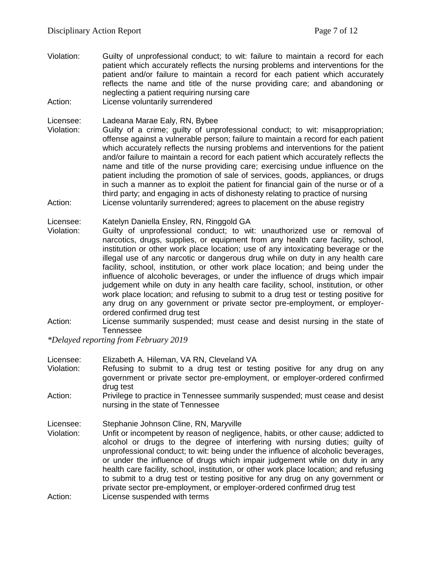- Violation: Guilty of unprofessional conduct; to wit: failure to maintain a record for each patient which accurately reflects the nursing problems and interventions for the patient and/or failure to maintain a record for each patient which accurately reflects the name and title of the nurse providing care; and abandoning or neglecting a patient requiring nursing care
- Action: License voluntarily surrendered

Licensee: Ladeana Marae Ealy, RN, Bybee

- Violation: Guilty of a crime; guilty of unprofessional conduct; to wit: misappropriation; offense against a vulnerable person; failure to maintain a record for each patient which accurately reflects the nursing problems and interventions for the patient and/or failure to maintain a record for each patient which accurately reflects the name and title of the nurse providing care; exercising undue influence on the patient including the promotion of sale of services, goods, appliances, or drugs in such a manner as to exploit the patient for financial gain of the nurse or of a third party; and engaging in acts of dishonesty relating to practice of nursing Action: License voluntarily surrendered; agrees to placement on the abuse registry
- Licensee: Katelyn Daniella Ensley, RN, Ringgold GA
- Violation: Guilty of unprofessional conduct; to wit: unauthorized use or removal of narcotics, drugs, supplies, or equipment from any health care facility, school, institution or other work place location; use of any intoxicating beverage or the illegal use of any narcotic or dangerous drug while on duty in any health care facility, school, institution, or other work place location; and being under the influence of alcoholic beverages, or under the influence of drugs which impair judgement while on duty in any health care facility, school, institution, or other work place location; and refusing to submit to a drug test or testing positive for any drug on any government or private sector pre-employment, or employerordered confirmed drug test
- Action: License summarily suspended; must cease and desist nursing in the state of Tennessee

*\*Delayed reporting from February 2019*

| Licensee:<br>Violation:            | Elizabeth A. Hileman, VA RN, Cleveland VA<br>Refusing to submit to a drug test or testing positive for any drug on any<br>government or private sector pre-employment, or employer-ordered confirmed                                                                                                                                                                                                                                                                                                                                                                                                                                                                 |
|------------------------------------|----------------------------------------------------------------------------------------------------------------------------------------------------------------------------------------------------------------------------------------------------------------------------------------------------------------------------------------------------------------------------------------------------------------------------------------------------------------------------------------------------------------------------------------------------------------------------------------------------------------------------------------------------------------------|
| Action:                            | drug test<br>Privilege to practice in Tennessee summarily suspended; must cease and desist<br>nursing in the state of Tennessee                                                                                                                                                                                                                                                                                                                                                                                                                                                                                                                                      |
| Licensee:<br>Violation:<br>Action: | Stephanie Johnson Cline, RN, Maryville<br>Unfit or incompetent by reason of negligence, habits, or other cause; addicted to<br>alcohol or drugs to the degree of interfering with nursing duties; guilty of<br>unprofessional conduct; to wit: being under the influence of alcoholic beverages,<br>or under the influence of drugs which impair judgement while on duty in any<br>health care facility, school, institution, or other work place location; and refusing<br>to submit to a drug test or testing positive for any drug on any government or<br>private sector pre-employment, or employer-ordered confirmed drug test<br>License suspended with terms |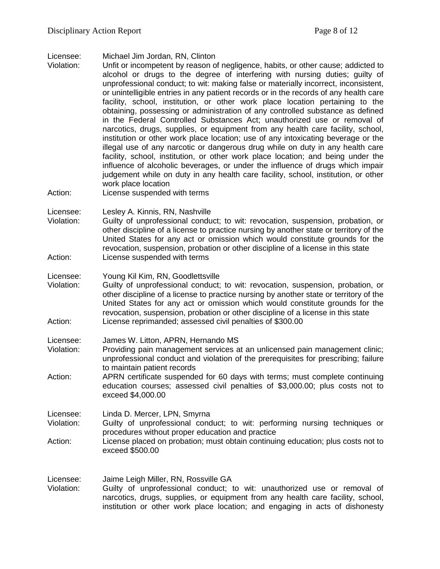- Licensee: Michael Jim Jordan, RN, Clinton
- Violation: Unfit or incompetent by reason of negligence, habits, or other cause; addicted to alcohol or drugs to the degree of interfering with nursing duties; guilty of unprofessional conduct; to wit: making false or materially incorrect, inconsistent, or unintelligible entries in any patient records or in the records of any health care facility, school, institution, or other work place location pertaining to the obtaining, possessing or administration of any controlled substance as defined in the Federal Controlled Substances Act; unauthorized use or removal of narcotics, drugs, supplies, or equipment from any health care facility, school, institution or other work place location; use of any intoxicating beverage or the illegal use of any narcotic or dangerous drug while on duty in any health care facility, school, institution, or other work place location; and being under the influence of alcoholic beverages, or under the influence of drugs which impair judgement while on duty in any health care facility, school, institution, or other work place location
- Action: License suspended with terms

Licensee: Lesley A. Kinnis, RN, Nashville

- Violation: Guilty of unprofessional conduct; to wit: revocation, suspension, probation, or other discipline of a license to practice nursing by another state or territory of the United States for any act or omission which would constitute grounds for the revocation, suspension, probation or other discipline of a license in this state Action: License suspended with terms
- Licensee: Young Kil Kim, RN, Goodlettsville
- Violation: Guilty of unprofessional conduct; to wit: revocation, suspension, probation, or other discipline of a license to practice nursing by another state or territory of the United States for any act or omission which would constitute grounds for the revocation, suspension, probation or other discipline of a license in this state Action: License reprimanded; assessed civil penalties of \$300.00
- Licensee: James W. Litton, APRN, Hernando MS
- Violation: Providing pain management services at an unlicensed pain management clinic; unprofessional conduct and violation of the prerequisites for prescribing; failure to maintain patient records
- Action: APRN certificate suspended for 60 days with terms; must complete continuing education courses; assessed civil penalties of \$3,000.00; plus costs not to exceed \$4,000.00
- Licensee: Linda D. Mercer, LPN, Smyrna
- Violation: Guilty of unprofessional conduct; to wit: performing nursing techniques or procedures without proper education and practice
- Action: License placed on probation; must obtain continuing education; plus costs not to exceed \$500.00

Licensee: Jaime Leigh Miller, RN, Rossville GA Violation: Guilty of unprofessional conduct; to wit: unauthorized use or removal of narcotics, drugs, supplies, or equipment from any health care facility, school, institution or other work place location; and engaging in acts of dishonesty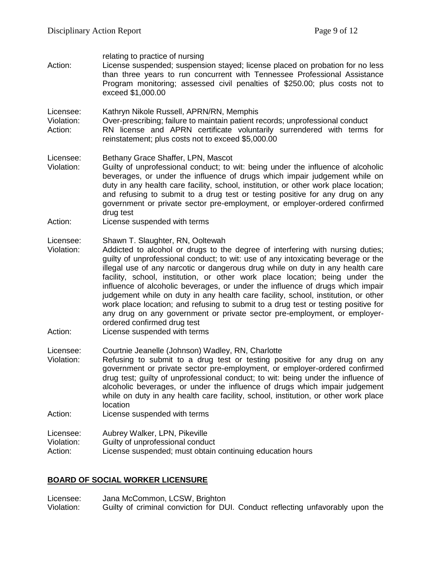| Action:                            | relating to practice of nursing<br>License suspended; suspension stayed; license placed on probation for no less<br>than three years to run concurrent with Tennessee Professional Assistance<br>Program monitoring; assessed civil penalties of \$250.00; plus costs not to<br>exceed \$1,000.00                                                                                                                                                                                                                                                                                                                                                                                                                                                   |
|------------------------------------|-----------------------------------------------------------------------------------------------------------------------------------------------------------------------------------------------------------------------------------------------------------------------------------------------------------------------------------------------------------------------------------------------------------------------------------------------------------------------------------------------------------------------------------------------------------------------------------------------------------------------------------------------------------------------------------------------------------------------------------------------------|
| Licensee:<br>Violation:<br>Action: | Kathryn Nikole Russell, APRN/RN, Memphis<br>Over-prescribing; failure to maintain patient records; unprofessional conduct<br>RN license and APRN certificate voluntarily surrendered with terms for<br>reinstatement; plus costs not to exceed \$5,000.00                                                                                                                                                                                                                                                                                                                                                                                                                                                                                           |
| Licensee:<br>Violation:            | Bethany Grace Shaffer, LPN, Mascot<br>Guilty of unprofessional conduct; to wit: being under the influence of alcoholic<br>beverages, or under the influence of drugs which impair judgement while on<br>duty in any health care facility, school, institution, or other work place location;<br>and refusing to submit to a drug test or testing positive for any drug on any<br>government or private sector pre-employment, or employer-ordered confirmed<br>drug test                                                                                                                                                                                                                                                                            |
| Action:                            | License suspended with terms                                                                                                                                                                                                                                                                                                                                                                                                                                                                                                                                                                                                                                                                                                                        |
| Licensee:<br>Violation:            | Shawn T. Slaughter, RN, Ooltewah<br>Addicted to alcohol or drugs to the degree of interfering with nursing duties;<br>guilty of unprofessional conduct; to wit: use of any intoxicating beverage or the<br>illegal use of any narcotic or dangerous drug while on duty in any health care<br>facility, school, institution, or other work place location; being under the<br>influence of alcoholic beverages, or under the influence of drugs which impair<br>judgement while on duty in any health care facility, school, institution, or other<br>work place location; and refusing to submit to a drug test or testing positive for<br>any drug on any government or private sector pre-employment, or employer-<br>ordered confirmed drug test |
| Action:                            | License suspended with terms                                                                                                                                                                                                                                                                                                                                                                                                                                                                                                                                                                                                                                                                                                                        |
| Licensee:<br>Violation:            | Courtnie Jeanelle (Johnson) Wadley, RN, Charlotte<br>Refusing to submit to a drug test or testing positive for any drug on any<br>government or private sector pre-employment, or employer-ordered confirmed<br>drug test; guilty of unprofessional conduct; to wit: being under the influence of<br>alcoholic beverages, or under the influence of drugs which impair judgement<br>while on duty in any health care facility, school, institution, or other work place<br>location                                                                                                                                                                                                                                                                 |
| Action:                            | License suspended with terms                                                                                                                                                                                                                                                                                                                                                                                                                                                                                                                                                                                                                                                                                                                        |
| Licensee:<br>Violation:<br>Action: | Aubrey Walker, LPN, Pikeville<br>Guilty of unprofessional conduct<br>License suspended; must obtain continuing education hours                                                                                                                                                                                                                                                                                                                                                                                                                                                                                                                                                                                                                      |

# **BOARD OF SOCIAL WORKER LICENSURE**

Licensee: Jana McCommon, LCSW, Brighton Violation: Guilty of criminal conviction for DUI. Conduct reflecting unfavorably upon the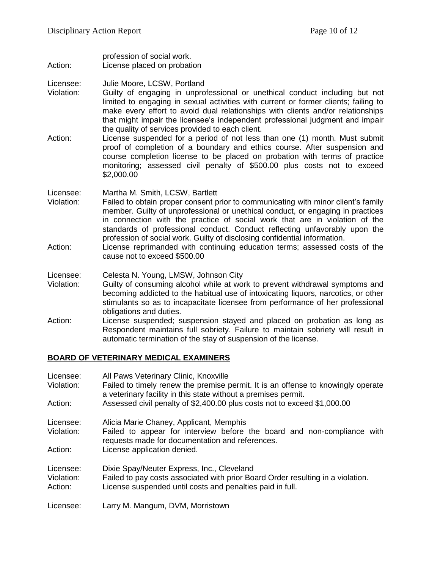- profession of social work. Action: License placed on probation
- Licensee: Julie Moore, LCSW, Portland
- Violation: Guilty of engaging in unprofessional or unethical conduct including but not limited to engaging in sexual activities with current or former clients; failing to make every effort to avoid dual relationships with clients and/or relationships that might impair the licensee's independent professional judgment and impair the quality of services provided to each client.
- Action: License suspended for a period of not less than one (1) month. Must submit proof of completion of a boundary and ethics course. After suspension and course completion license to be placed on probation with terms of practice monitoring; assessed civil penalty of \$500.00 plus costs not to exceed \$2,000.00
- Licensee: Martha M. Smith, LCSW, Bartlett
- Violation: Failed to obtain proper consent prior to communicating with minor client's family member. Guilty of unprofessional or unethical conduct, or engaging in practices in connection with the practice of social work that are in violation of the standards of professional conduct. Conduct reflecting unfavorably upon the profession of social work. Guilty of disclosing confidential information.
- Action: License reprimanded with continuing education terms; assessed costs of the cause not to exceed \$500.00
- Licensee: Celesta N. Young, LMSW, Johnson City
- Violation: Guilty of consuming alcohol while at work to prevent withdrawal symptoms and becoming addicted to the habitual use of intoxicating liquors, narcotics, or other stimulants so as to incapacitate licensee from performance of her professional obligations and duties.
- Action: License suspended; suspension stayed and placed on probation as long as Respondent maintains full sobriety. Failure to maintain sobriety will result in automatic termination of the stay of suspension of the license.

#### **BOARD OF VETERINARY MEDICAL EXAMINERS**

| Licensee:             | All Paws Veterinary Clinic, Knoxville                                                                                                              |
|-----------------------|----------------------------------------------------------------------------------------------------------------------------------------------------|
| Violation:            | Failed to timely renew the premise permit. It is an offense to knowingly operate<br>a veterinary facility in this state without a premises permit. |
| Action:               | Assessed civil penalty of \$2,400.00 plus costs not to exceed \$1,000.00                                                                           |
| Licensee:             | Alicia Marie Chaney, Applicant, Memphis                                                                                                            |
| Violation:            | Failed to appear for interview before the board and non-compliance with<br>requests made for documentation and references.                         |
| Action:               | License application denied.                                                                                                                        |
| Licensee:             | Dixie Spay/Neuter Express, Inc., Cleveland                                                                                                         |
| Violation:<br>Action: | Failed to pay costs associated with prior Board Order resulting in a violation.<br>License suspended until costs and penalties paid in full.       |
|                       |                                                                                                                                                    |
| Licensee:             | Larry M. Mangum, DVM, Morristown                                                                                                                   |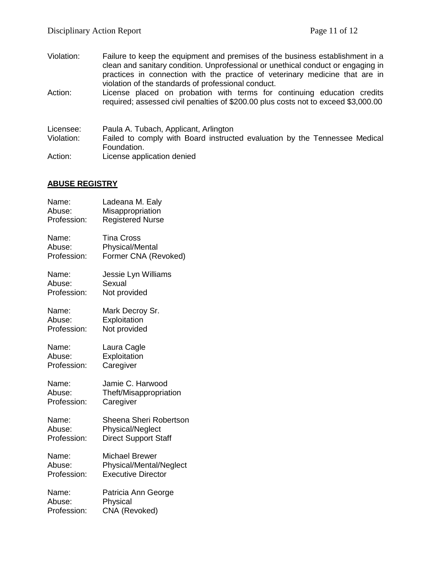- Violation: Failure to keep the equipment and premises of the business establishment in a clean and sanitary condition. Unprofessional or unethical conduct or engaging in practices in connection with the practice of veterinary medicine that are in violation of the standards of professional conduct.
- Action: License placed on probation with terms for continuing education credits required; assessed civil penalties of \$200.00 plus costs not to exceed \$3,000.00
- Licensee: Paula A. Tubach, Applicant, Arlington Violation: Failed to comply with Board instructed evaluation by the Tennessee Medical Foundation. Action: License application denied

# **ABUSE REGISTRY**

| Name:       | Ladeana M. Ealy             |
|-------------|-----------------------------|
| Abuse:      | Misappropriation            |
| Profession: | <b>Registered Nurse</b>     |
| Name:       | <b>Tina Cross</b>           |
| Abuse:      | <b>Physical/Mental</b>      |
| Profession: | Former CNA (Revoked)        |
| Name:       | Jessie Lyn Williams         |
| Abuse:      | Sexual                      |
| Profession: | Not provided                |
| Name:       | Mark Decroy Sr.             |
| Abuse:      | Exploitation                |
| Profession: | Not provided                |
| Name:       | Laura Cagle                 |
| Abuse:      | Exploitation                |
| Profession: | Caregiver                   |
| Name:       | Jamie C. Harwood            |
| Abuse:      | Theft/Misappropriation      |
| Profession: | Caregiver                   |
| Name:       | Sheena Sheri Robertson      |
| Abuse:      | Physical/Neglect            |
| Profession: | <b>Direct Support Staff</b> |
| Name:       | <b>Michael Brewer</b>       |
| Abuse:      | Physical/Mental/Neglect     |
| Profession: | <b>Executive Director</b>   |
| Name:       | Patricia Ann George         |
| Abuse:      | Physical                    |
| Profession: | CNA (Revoked)               |